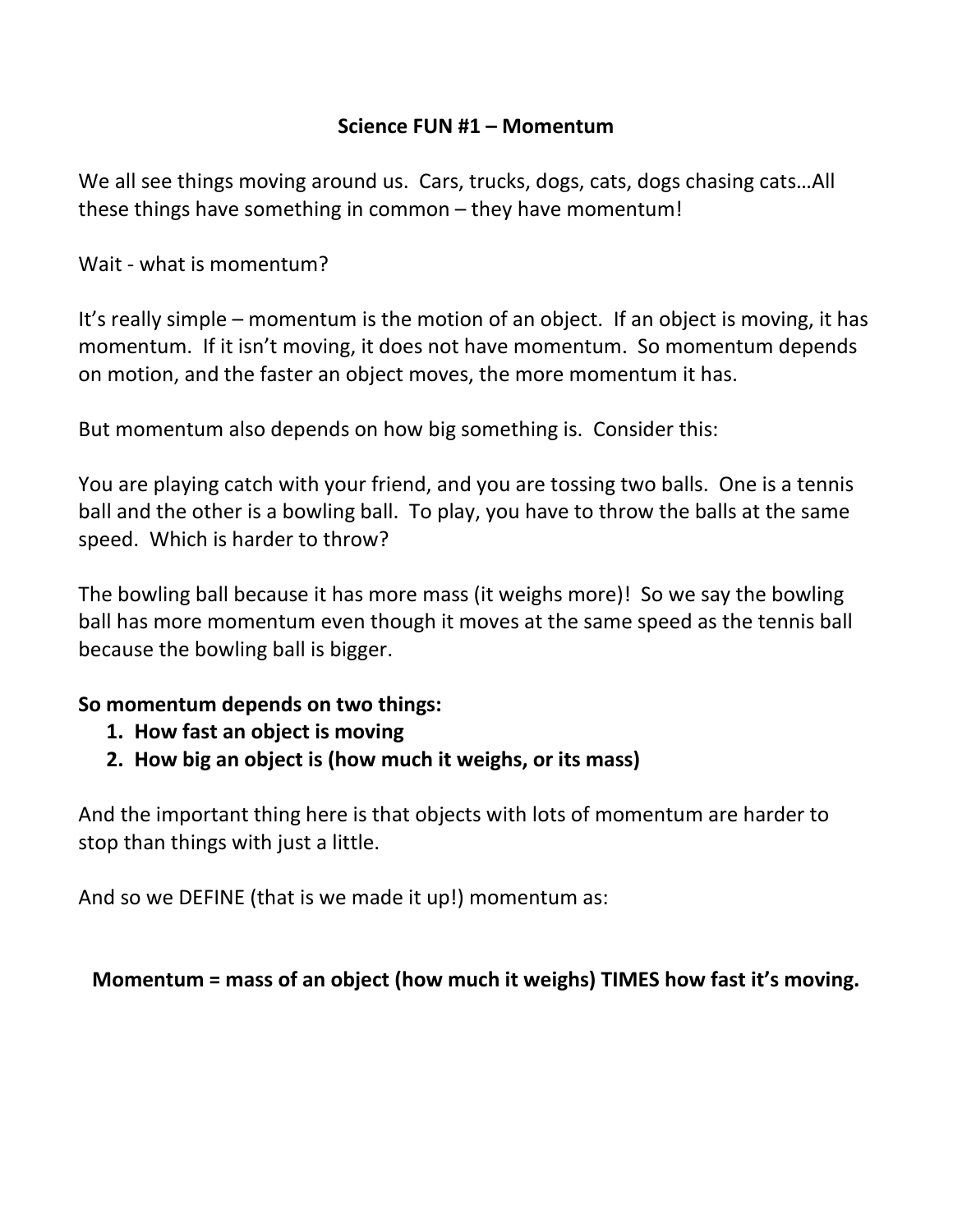# **Science FUN #1 – Momentum**

We all see things moving around us. Cars, trucks, dogs, cats, dogs chasing cats…All these things have something in common – they have momentum!

Wait - what is momentum?

It's really simple – momentum is the motion of an object. If an object is moving, it has momentum. If it isn't moving, it does not have momentum. So momentum depends on motion, and the faster an object moves, the more momentum it has.

But momentum also depends on how big something is. Consider this:

You are playing catch with your friend, and you are tossing two balls. One is a tennis ball and the other is a bowling ball. To play, you have to throw the balls at the same speed. Which is harder to throw?

The bowling ball because it has more mass (it weighs more)! So we say the bowling ball has more momentum even though it moves at the same speed as the tennis ball because the bowling ball is bigger.

### **So momentum depends on two things:**

- **1. How fast an object is moving**
- **2. How big an object is (how much it weighs, or its mass)**

And the important thing here is that objects with lots of momentum are harder to stop than things with just a little.

And so we DEFINE (that is we made it up!) momentum as:

### **Momentum = mass of an object (how much it weighs) TIMES how fast it's moving.**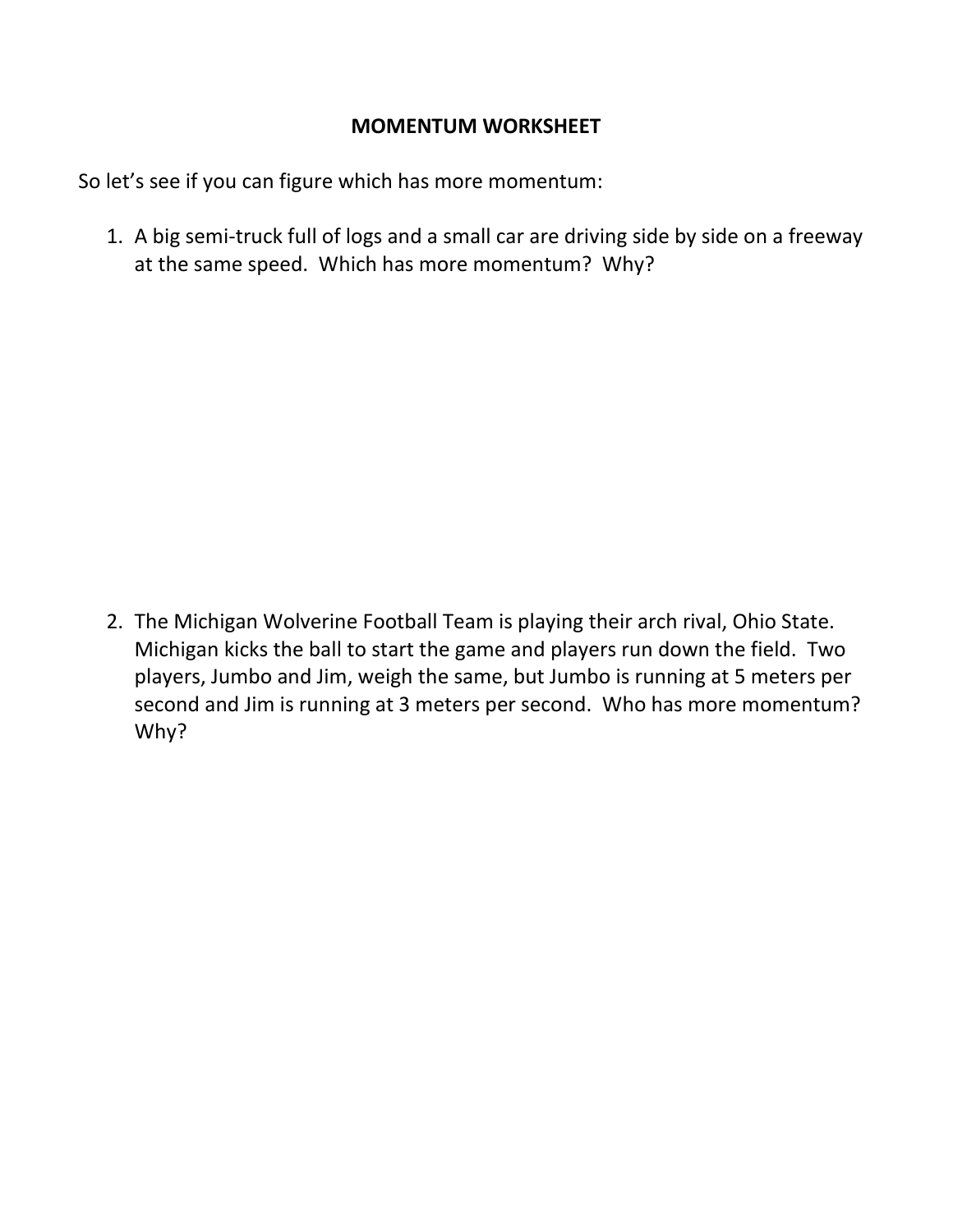# **MOMENTUM WORKSHEET**

So let's see if you can figure which has more momentum:

1. A big semi-truck full of logs and a small car are driving side by side on a freeway at the same speed. Which has more momentum? Why?

2. The Michigan Wolverine Football Team is playing their arch rival, Ohio State. Michigan kicks the ball to start the game and players run down the field. Two players, Jumbo and Jim, weigh the same, but Jumbo is running at 5 meters per second and Jim is running at 3 meters per second. Who has more momentum? Why?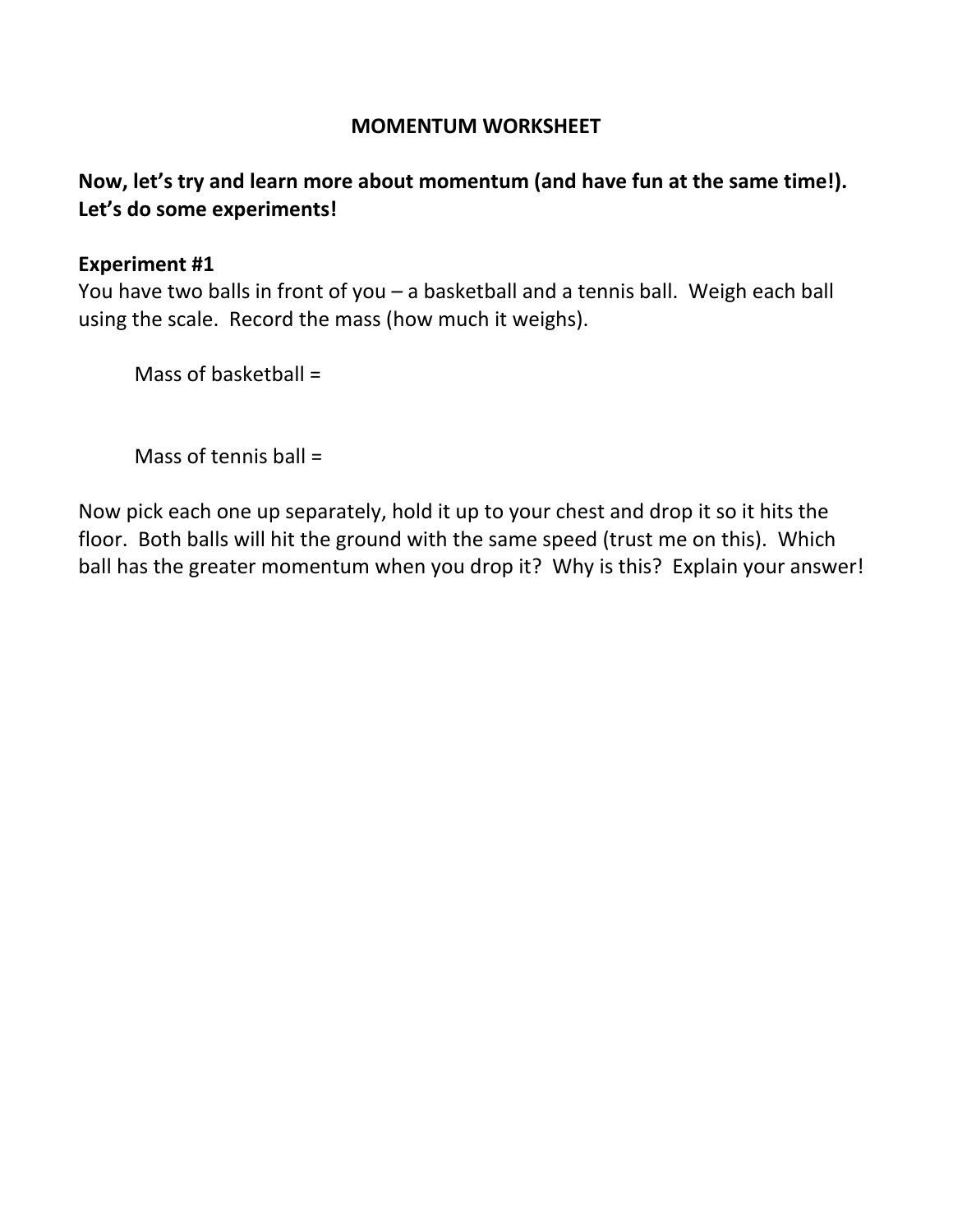### **MOMENTUM WORKSHEET**

# **Now, let's try and learn more about momentum (and have fun at the same time!). Let's do some experiments!**

#### **Experiment #1**

You have two balls in front of you – a basketball and a tennis ball. Weigh each ball using the scale. Record the mass (how much it weighs).

Mass of basketball =

Mass of tennis ball =

Now pick each one up separately, hold it up to your chest and drop it so it hits the floor. Both balls will hit the ground with the same speed (trust me on this). Which ball has the greater momentum when you drop it? Why is this? Explain your answer!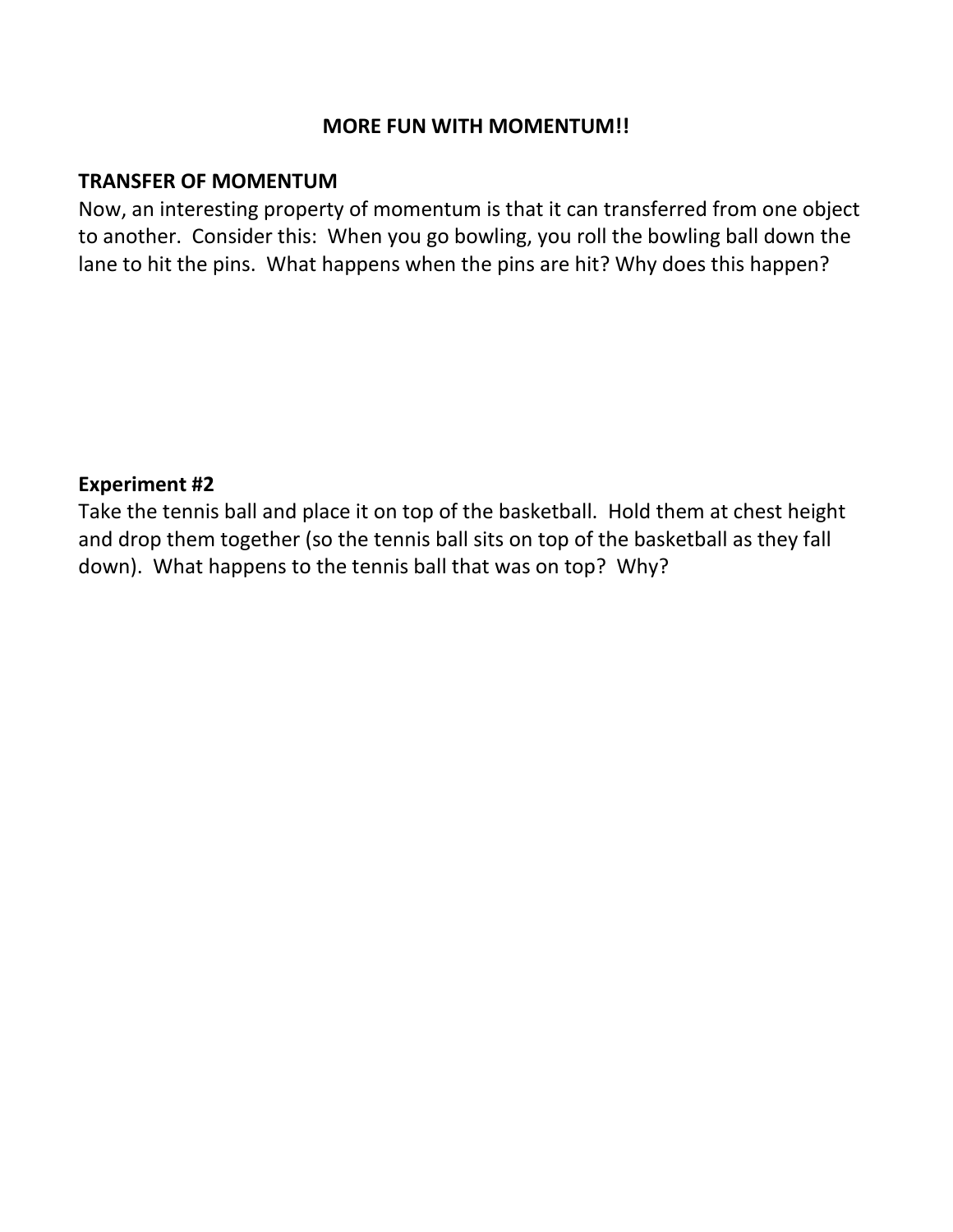### **MORE FUN WITH MOMENTUM!!**

### **TRANSFER OF MOMENTUM**

Now, an interesting property of momentum is that it can transferred from one object to another. Consider this: When you go bowling, you roll the bowling ball down the lane to hit the pins. What happens when the pins are hit? Why does this happen?

### **Experiment #2**

Take the tennis ball and place it on top of the basketball. Hold them at chest height and drop them together (so the tennis ball sits on top of the basketball as they fall down). What happens to the tennis ball that was on top? Why?